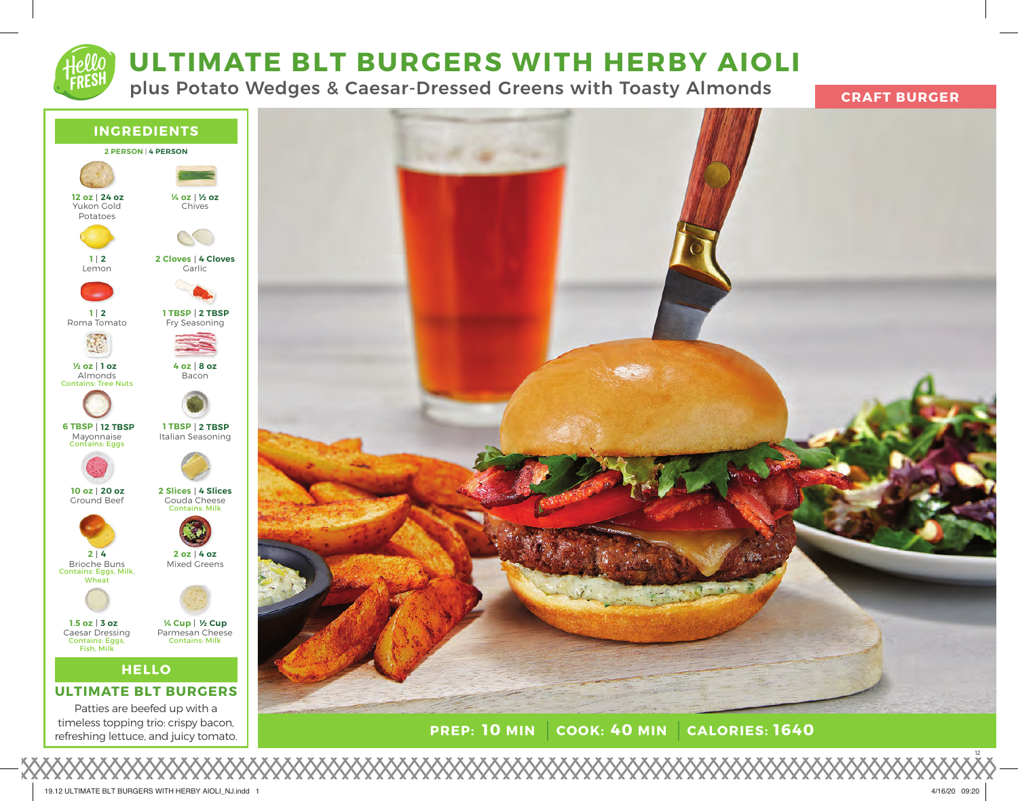

# **ULTIMATE BLT BURGERS WITH HERBY AIOLI**

plus Potato Wedges & Caesar-Dressed Greens with Toasty Almonds



timeless topping trio: crispy bacon, refreshing lettuce, and juicy tomato.



**PREP: 10 MIN COOK: 40 MIN 10 MIN 40 MIN 1640**

12